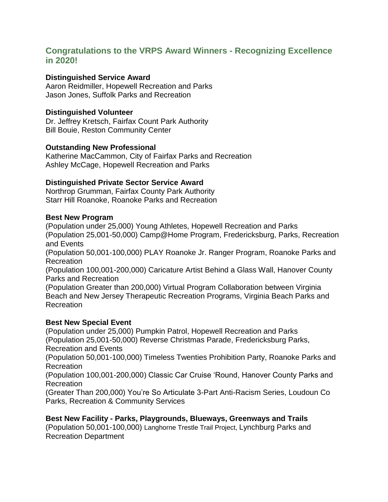## **Congratulations to the VRPS Award Winners - Recognizing Excellence in 2020!**

### **Distinguished Service Award**

Aaron Reidmiller, Hopewell Recreation and Parks Jason Jones, Suffolk Parks and Recreation

### **Distinguished Volunteer**

Dr. Jeffrey Kretsch, Fairfax Count Park Authority Bill Bouie, Reston Community Center

#### **Outstanding New Professional**

Katherine MacCammon, City of Fairfax Parks and Recreation Ashley McCage, Hopewell Recreation and Parks

### **Distinguished Private Sector Service Award**

Northrop Grumman, Fairfax County Park Authority Starr Hill Roanoke, Roanoke Parks and Recreation

#### **Best New Program**

(Population under 25,000) Young Athletes, Hopewell Recreation and Parks (Population 25,001-50,000) Camp@Home Program, Fredericksburg, Parks, Recreation and Events

(Population 50,001-100,000) PLAY Roanoke Jr. Ranger Program, Roanoke Parks and Recreation

(Population 100,001-200,000) Caricature Artist Behind a Glass Wall, Hanover County Parks and Recreation

(Population Greater than 200,000) Virtual Program Collaboration between Virginia Beach and New Jersey Therapeutic Recreation Programs, Virginia Beach Parks and Recreation

#### **Best New Special Event**

(Population under 25,000) Pumpkin Patrol, Hopewell Recreation and Parks (Population 25,001-50,000) Reverse Christmas Parade, Fredericksburg Parks, Recreation and Events (Population 50,001-100,000) Timeless Twenties Prohibition Party, Roanoke Parks and Recreation (Population 100,001-200,000) Classic Car Cruise 'Round, Hanover County Parks and Recreation (Greater Than 200,000) You're So Articulate 3-Part Anti-Racism Series, Loudoun Co Parks, Recreation & Community Services

**Best New Facility - Parks, Playgrounds, Blueways, Greenways and Trails**  (Population 50,001-100,000) Langhorne Trestle Trail Project, Lynchburg Parks and Recreation Department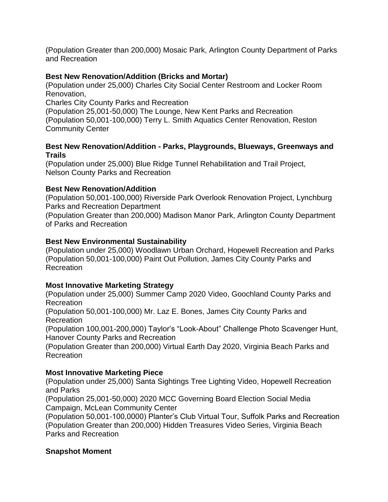(Population Greater than 200,000) Mosaic Park, Arlington County Department of Parks and Recreation

### **Best New Renovation/Addition (Bricks and Mortar)**

(Population under 25,000) Charles City Social Center Restroom and Locker Room Renovation,

Charles City County Parks and Recreation

(Population 25,001-50,000) The Lounge, New Kent Parks and Recreation (Population 50,001-100,000) Terry L. Smith Aquatics Center Renovation, Reston Community Center

### **Best New Renovation/Addition - Parks, Playgrounds, Blueways, Greenways and Trails**

(Population under 25,000) Blue Ridge Tunnel Rehabilitation and Trail Project, Nelson County Parks and Recreation

### **Best New Renovation/Addition**

(Population 50,001-100,000) Riverside Park Overlook Renovation Project, Lynchburg Parks and Recreation Department

(Population Greater than 200,000) Madison Manor Park, Arlington County Department of Parks and Recreation

## **Best New Environmental Sustainability**

(Population under 25,000) Woodlawn Urban Orchard, Hopewell Recreation and Parks (Population 50,001-100,000) Paint Out Pollution, James City County Parks and Recreation

# **Most Innovative Marketing Strategy**

(Population under 25,000) Summer Camp 2020 Video, Goochland County Parks and Recreation

(Population 50,001-100,000) Mr. Laz E. Bones, James City County Parks and Recreation

(Population 100,001-200,000) Taylor's "Look-About" Challenge Photo Scavenger Hunt, Hanover County Parks and Recreation

(Population Greater than 200,000) Virtual Earth Day 2020, Virginia Beach Parks and **Recreation** 

# **Most Innovative Marketing Piece**

(Population under 25,000) Santa Sightings Tree Lighting Video, Hopewell Recreation and Parks

(Population 25,001-50,000) 2020 MCC Governing Board Election Social Media Campaign, McLean Community Center

(Population 50,001-100,0000) Planter's Club Virtual Tour, Suffolk Parks and Recreation (Population Greater than 200,000) Hidden Treasures Video Series, Virginia Beach Parks and Recreation

# **Snapshot Moment**